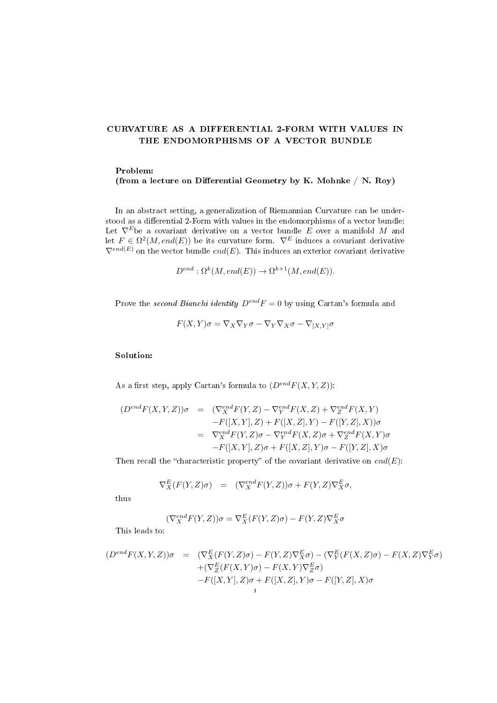## CURVATURE AS A DIFFERENTIAL 2-FORM WITH VALUES IN THE ENDOMORPHISMS OF A VECTOR BUNDLE

## Problem:

(from a lecture on Differential Geometry by K. Mohnke  $/$  N. Roy)

In an abstract setting, a generalization of Riemannian Curvature can be understood as a differential 2-Form with values in the endomorphisms of a vector bundle: Let  $\nabla^E$ be a covariant derivative on a vector bundle E over a manifold M and let  $F \in \Omega^2(M, end(E))$  be its curvature form.  $\nabla^E$  induces a covariant derivative  $\nabla^{end(E)}$  on the vector bundle  $end(E)$ . This induces an exterior covariant derivative

$$
D^{end} : \Omega^k(M, end(E)) \to \Omega^{k+1}(M, end(E)).
$$

Prove the second Bianchi identity  $D^{end}F = 0$  by using Cartan's formula and

$$
F(X,Y)\sigma = \nabla_X \nabla_Y \sigma - \nabla_Y \nabla_X \sigma - \nabla_{[X,Y]} \sigma
$$

## Solution:

As a first step, apply Cartan's formula to  $(D^{end}F(X, Y, Z))$ :

$$
(D^{end}F(X,Y,Z))\sigma = (\nabla_X^{end}F(Y,Z) - \nabla_Y^{end}F(X,Z) + \nabla_Z^{end}F(X,Y)
$$
  
\n
$$
-F([X,Y],Z) + F([X,Z],Y) - F([Y,Z],X))\sigma
$$
  
\n
$$
= \nabla_X^{end}F(Y,Z)\sigma - \nabla_Y^{end}F(X,Z)\sigma + \nabla_Z^{end}F(X,Y)\sigma
$$
  
\n
$$
-F([X,Y],Z)\sigma + F([X,Z],Y)\sigma - F([Y,Z],X)\sigma
$$

Then recall the "characteristic property" of the covariant derivative on  $end(E)$ :

$$
\nabla_X^E(F(Y,Z)\sigma) = (\nabla_X^{end}F(Y,Z))\sigma + F(Y,Z)\nabla_X^E \sigma,
$$

thus

$$
(\nabla_X^{end} F(Y,Z))\sigma = \nabla_X^E(F(Y,Z)\sigma) - F(Y,Z)\nabla_X^E \sigma
$$

This leads to:

$$
(D^{end}F(X,Y,Z))\sigma = (\nabla^E_X(F(Y,Z)\sigma) - F(Y,Z)\nabla^E_X\sigma) - (\nabla^E_Y(F(X,Z)\sigma) - F(X,Z)\nabla^E_Y\sigma) \n+ (\nabla^E_Z(F(X,Y)\sigma) - F(X,Y)\nabla^E_Z\sigma) \n- F([X,Y],Z)\sigma + F([X,Z],Y)\sigma - F([Y,Z],X)\sigma
$$